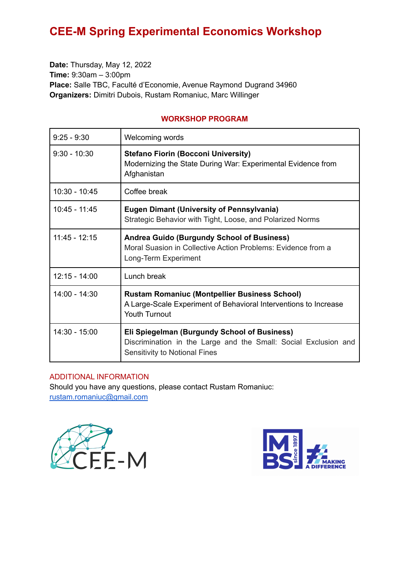**Date:** Thursday, May 12, 2022 **Time:** 9:30am – 3:00pm **Place:** Salle TBC, Faculté d'Economie, Avenue Raymond Dugrand 34960 **Organizers:** Dimitri Dubois, Rustam Romaniuc, Marc Willinger

### **WORKSHOP PROGRAM**

| $9:25 - 9:30$   | Welcoming words                                                                                                                                  |
|-----------------|--------------------------------------------------------------------------------------------------------------------------------------------------|
| $9:30 - 10:30$  | <b>Stefano Fiorin (Bocconi University)</b><br>Modernizing the State During War: Experimental Evidence from<br>Afghanistan                        |
| $10:30 - 10:45$ | Coffee break                                                                                                                                     |
| 10:45 - 11:45   | <b>Eugen Dimant (University of Pennsylvania)</b><br>Strategic Behavior with Tight, Loose, and Polarized Norms                                    |
| $11:45 - 12:15$ | <b>Andrea Guido (Burgundy School of Business)</b><br>Moral Suasion in Collective Action Problems: Evidence from a<br>Long-Term Experiment        |
| $12:15 - 14:00$ | Lunch break                                                                                                                                      |
| 14:00 - 14:30   | <b>Rustam Romaniuc (Montpellier Business School)</b><br>A Large-Scale Experiment of Behavioral Interventions to Increase<br><b>Youth Turnout</b> |
| $14:30 - 15:00$ | Eli Spiegelman (Burgundy School of Business)<br>Discrimination in the Large and the Small: Social Exclusion and<br>Sensitivity to Notional Fines |

## ADDITIONAL INFORMATION

Should you have any questions, please contact Rustam Romaniuc: [rustam.romaniuc@gmail.com](mailto:rustam.romaniuc@gmail.com)



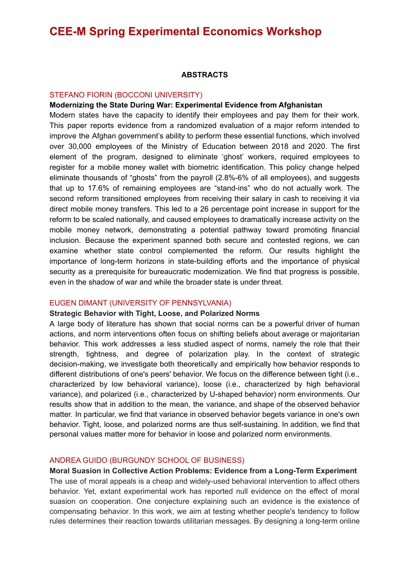### **ABSTRACTS**

#### STEFANO FIORIN (BOCCONI UNIVERSITY)

#### **Modernizing the State During War: Experimental Evidence from Afghanistan**

Modern states have the capacity to identify their employees and pay them for their work. This paper reports evidence from a randomized evaluation of a major reform intended to improve the Afghan government's ability to perform these essential functions, which involved over 30,000 employees of the Ministry of Education between 2018 and 2020. The first element of the program, designed to eliminate 'ghost' workers, required employees to register for a mobile money wallet with biometric identification. This policy change helped eliminate thousands of "ghosts" from the payroll (2.8%-6% of all employees), and suggests that up to 17.6% of remaining employees are "stand-ins" who do not actually work. The second reform transitioned employees from receiving their salary in cash to receiving it via direct mobile money transfers. This led to a 26 percentage point increase in support for the reform to be scaled nationally, and caused employees to dramatically increase activity on the mobile money network, demonstrating a potential pathway toward promoting financial inclusion. Because the experiment spanned both secure and contested regions, we can examine whether state control complemented the reform. Our results highlight the importance of long-term horizons in state-building efforts and the importance of physical security as a prerequisite for bureaucratic modernization. We find that progress is possible, even in the shadow of war and while the broader state is under threat.

#### EUGEN DIMANT (UNIVERSITY OF PENNSYLVANIA)

#### **Strategic Behavior with Tight, Loose, and Polarized Norms**

A large body of literature has shown that social norms can be a powerful driver of human actions, and norm interventions often focus on shifting beliefs about average or majoritarian behavior. This work addresses a less studied aspect of norms, namely the role that their strength, tightness, and degree of polarization play. In the context of strategic decision-making, we investigate both theoretically and empirically how behavior responds to different distributions of one's peers' behavior. We focus on the difference between tight (i.e., characterized by low behavioral variance), loose (i.e., characterized by high behavioral variance), and polarized (i.e., characterized by U-shaped behavior) norm environments. Our results show that in addition to the mean, the variance, and shape of the observed behavior matter. In particular, we find that variance in observed behavior begets variance in one's own behavior. Tight, loose, and polarized norms are thus self-sustaining. In addition, we find that personal values matter more for behavior in loose and polarized norm environments.

#### ANDREA GUIDO (BURGUNDY SCHOOL OF BUSINESS)

**Moral Suasion in Collective Action Problems: Evidence from a Long-Term Experiment** The use of moral appeals is a cheap and widely-used behavioral intervention to affect others behavior. Yet, extant experimental work has reported null evidence on the effect of moral suasion on cooperation. One conjecture explaining such an evidence is the existence of compensating behavior. In this work, we aim at testing whether people's tendency to follow rules determines their reaction towards utilitarian messages. By designing a long-term online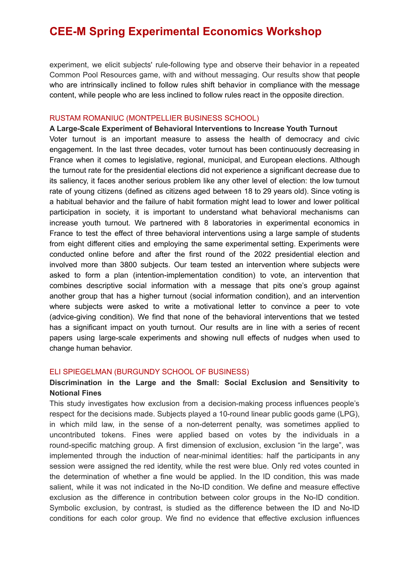experiment, we elicit subjects' rule-following type and observe their behavior in a repeated Common Pool Resources game, with and without messaging. Our results show that people who are intrinsically inclined to follow rules shift behavior in compliance with the message content, while people who are less inclined to follow rules react in the opposite direction.

#### RUSTAM ROMANIUC (MONTPELLIER BUSINESS SCHOOL)

## **A Large-Scale Experiment of Behavioral Interventions to Increase Youth Turnout** Voter turnout is an important measure to assess the health of democracy and civic engagement. In the last three decades, voter turnout has been continuously decreasing in France when it comes to legislative, regional, municipal, and European elections. Although the turnout rate for the presidential elections did not experience a significant decrease due to its saliency, it faces another serious problem like any other level of election: the low turnout rate of young citizens (defined as citizens aged between 18 to 29 years old). Since voting is a habitual behavior and the failure of habit formation might lead to lower and lower political participation in society, it is important to understand what behavioral mechanisms can increase youth turnout. We partnered with 8 laboratories in experimental economics in France to test the effect of three behavioral interventions using a large sample of students from eight different cities and employing the same experimental setting. Experiments were conducted online before and after the first round of the 2022 presidential election and involved more than 3800 subjects. Our team tested an intervention where subjects were asked to form a plan (intention-implementation condition) to vote, an intervention that combines descriptive social information with a message that pits one's group against another group that has a higher turnout (social information condition), and an intervention where subjects were asked to write a motivational letter to convince a peer to vote (advice-giving condition). We find that none of the behavioral interventions that we tested has a significant impact on youth turnout. Our results are in line with a series of recent papers using large-scale experiments and showing null effects of nudges when used to change human behavior.

#### ELI SPIEGELMAN (BURGUNDY SCHOOL OF BUSINESS)

### **Discrimination in the Large and the Small: Social Exclusion and Sensitivity to Notional Fines**

This study investigates how exclusion from a decision-making process influences people's respect for the decisions made. Subjects played a 10-round linear public goods game (LPG), in which mild law, in the sense of a non-deterrent penalty, was sometimes applied to uncontributed tokens. Fines were applied based on votes by the individuals in a round-specific matching group. A first dimension of exclusion, exclusion "in the large", was implemented through the induction of near-minimal identities: half the participants in any session were assigned the red identity, while the rest were blue. Only red votes counted in the determination of whether a fine would be applied. In the ID condition, this was made salient, while it was not indicated in the No-ID condition. We define and measure effective exclusion as the difference in contribution between color groups in the No-ID condition. Symbolic exclusion, by contrast, is studied as the difference between the ID and No-ID conditions for each color group. We find no evidence that effective exclusion influences